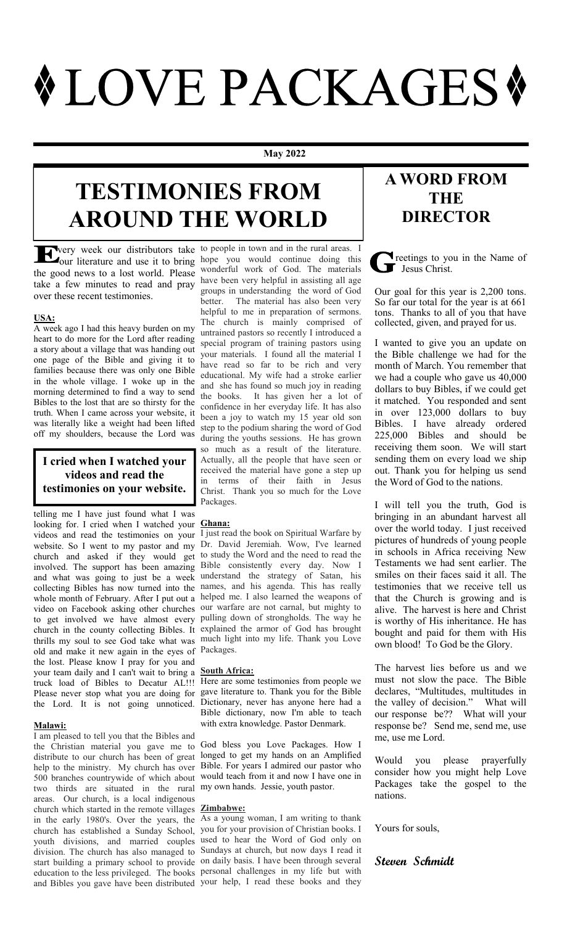# **WLOVE PACKAGES \***

#### **May 2022**

# **TESTIMONIES FROM AROUND THE WORLD**

take a few minutes to read and pray over these recent testimonies.

# **USA:**

A week ago I had this heavy burden on my heart to do more for the Lord after reading a story about a village that was handing out one page of the Bible and giving it to families because there was only one Bible in the whole village. I woke up in the morning determined to find a way to send Bibles to the lost that are so thirsty for the truth. When I came across your website, it was literally like a weight had been lifted off my shoulders, because the Lord was

# **I cried when I watched your videos and read the testimonies on your website.**

telling me I have just found what I was looking for. I cried when I watched your videos and read the testimonies on your website. So I went to my pastor and my church and asked if they would get involved. The support has been amazing and what was going to just be a week collecting Bibles has now turned into the whole month of February. After I put out a video on Facebook asking other churches to get involved we have almost every church in the county collecting Bibles. It thrills my soul to see God take what was much light into my life. Thank you Love old and make it new again in the eyes of Packages. the lost. Please know I pray for you and your team daily and I can't wait to bring a truck load of Bibles to Decatur AL!!! Please never stop what you are doing for the Lord. It is not going unnoticed.

# **Malawi:**

I am pleased to tell you that the Bibles and the Christian material you gave me to distribute to our church has been of great help to the ministry. My church has over 500 branches countrywide of which about two thirds are situated in the rural my own hands. Jessie, youth pastor. areas. Our church, is a local indigenous church which started in the remote villages **Zimbabwe:** in the early 1980's. Over the years, the As a young woman, I am writing to thank church has established a Sunday School, you for your provision of Christian books. I youth divisions, and married couples used to hear the Word of God only on division. The church has also managed to Sundays at church, but now days I read it start building a primary school to provide on daily basis. I have been through several education to the less privileged. The books personal challenges in my life but with and Bibles you gave have been distributed your help, I read these books and they

very week our distributors take to people in town and in the rural areas. I our literature and use it to bring hope you would continue doing this the good news to a lost world. Please wonderful work of God. The materials have been very helpful in assisting all age groups in understanding the word of God better. The material has also been very helpful to me in preparation of sermons. The church is mainly comprised of untrained pastors so recently I introduced a special program of training pastors using your materials. I found all the material I have read so far to be rich and very educational. My wife had a stroke earlier and she has found so much joy in reading the books. It has given her a lot of confidence in her everyday life. It has also been a joy to watch my 15 year old son step to the podium sharing the word of God during the youths sessions. He has grown so much as a result of the literature. Actually, all the people that have seen or received the material have gone a step up in terms of their faith in Jesus Christ. Thank you so much for the Love Packages.

# **Ghana:**

I just read the book on Spiritual Warfare by Dr. David Jeremiah. Wow, I've learned to study the Word and the need to read the Bible consistently every day. Now I understand the strategy of Satan, his names, and his agenda. This has really helped me. I also learned the weapons of our warfare are not carnal, but mighty to pulling down of strongholds. The way he explained the armor of God has brought

# **South Africa:**

Here are some testimonies from people we gave literature to. Thank you for the Bible Dictionary, never has anyone here had a Bible dictionary, now I'm able to teach with extra knowledge. Pastor Denmark.

God bless you Love Packages. How I longed to get my hands on an Amplified Bible. For years I admired our pastor who would teach from it and now I have one in

# **A WORD FROM THE DIRECTOR**

**T** reetings to you in the Name of July 1

Our goal for this year is 2,200 tons. So far our total for the year is at 661 tons. Thanks to all of you that have collected, given, and prayed for us.

I wanted to give you an update on the Bible challenge we had for the month of March. You remember that we had a couple who gave us 40,000 dollars to buy Bibles, if we could get it matched. You responded and sent in over 123,000 dollars to buy Bibles. I have already ordered 225,000 Bibles and should be receiving them soon. We will start sending them on every load we ship out. Thank you for helping us send the Word of God to the nations.

I will tell you the truth, God is bringing in an abundant harvest all over the world today. I just received pictures of hundreds of young people in schools in Africa receiving New Testaments we had sent earlier. The smiles on their faces said it all. The testimonies that we receive tell us that the Church is growing and is alive. The harvest is here and Christ is worthy of His inheritance. He has bought and paid for them with His own blood! To God be the Glory.

The harvest lies before us and we must not slow the pace. The Bible declares, "Multitudes, multitudes in the valley of decision." What will our response be?? What will your response be? Send me, send me, use me, use me Lord.

Would you please prayerfully consider how you might help Love Packages take the gospel to the nations.

Yours for souls,

# **Steven Schmidt**